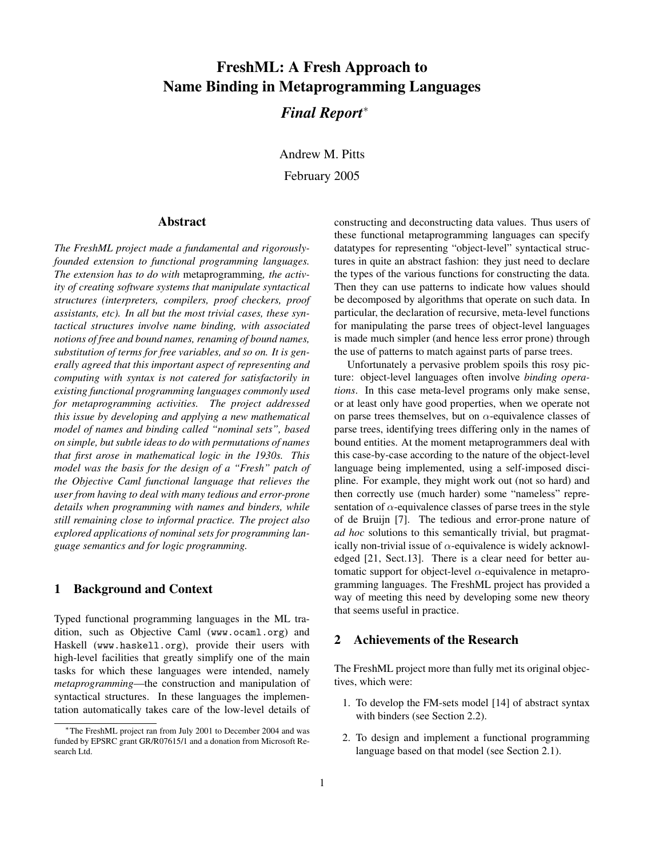# **FreshML: A Fresh Approach to Name Binding in Metaprogramming Languages**

## *Final Report*<sup>∗</sup>

Andrew M. Pitts February 2005

## **Abstract**

*The FreshML project made a fundamental and rigorouslyfounded extension to functional programming languages. The extension has to do with* metaprogramming*, the activity of creating software systems that manipulate syntactical structures (interpreters, compilers, proof checkers, proof assistants, etc). In all but the most trivial cases, these syntactical structures involve name binding, with associated notions of free and bound names, renaming of bound names, substitution of terms for free variables, and so on. It is generally agreed that this important aspect of representing and computing with syntax is not catered for satisfactorily in existing functional programming languages commonly used for metaprogramming activities. The project addressed this issue by developing and applying a new mathematical model of names and binding called "nominal sets", based on simple, but subtle ideas to do with permutations of names that first arose in mathematical logic in the 1930s. This model was the basis for the design of a "Fresh" patch of the Objective Caml functional language that relieves the user from having to deal with many tedious and error-prone details when programming with names and binders, while still remaining close to informal practice. The project also explored applications of nominal sets for programming language semantics and for logic programming.*

## **1 Background and Context**

Typed functional programming languages in the ML tradition, such as Objective Caml (www.ocaml.org) and Haskell (www.haskell.org), provide their users with high-level facilities that greatly simplify one of the main tasks for which these languages were intended, namely *metaprogramming*—the construction and manipulation of syntactical structures. In these languages the implementation automatically takes care of the low-level details of constructing and deconstructing data values. Thus users of these functional metaprogramming languages can specify datatypes for representing "object-level" syntactical structures in quite an abstract fashion: they just need to declare the types of the various functions for constructing the data. Then they can use patterns to indicate how values should be decomposed by algorithms that operate on such data. In particular, the declaration of recursive, meta-level functions for manipulating the parse trees of object-level languages is made much simpler (and hence less error prone) through the use of patterns to match against parts of parse trees.

Unfortunately a pervasive problem spoils this rosy picture: object-level languages often involve *binding operations*. In this case meta-level programs only make sense, or at least only have good properties, when we operate not on parse trees themselves, but on  $\alpha$ -equivalence classes of parse trees, identifying trees differing only in the names of bound entities. At the moment metaprogrammers deal with this case-by-case according to the nature of the object-level language being implemented, using a self-imposed discipline. For example, they might work out (not so hard) and then correctly use (much harder) some "nameless" representation of  $\alpha$ -equivalence classes of parse trees in the style of de Bruijn [7]. The tedious and error-prone nature of *ad hoc* solutions to this semantically trivial, but pragmatically non-trivial issue of  $\alpha$ -equivalence is widely acknowledged [21, Sect.13]. There is a clear need for better automatic support for object-level  $\alpha$ -equivalence in metaprogramming languages. The FreshML project has provided a way of meeting this need by developing some new theory that seems useful in practice.

#### **2 Achievements of the Research**

The FreshML project more than fully met its original objectives, which were:

- 1. To develop the FM-sets model [14] of abstract syntax with binders (see Section 2.2).
- 2. To design and implement a functional programming language based on that model (see Section 2.1).

<sup>∗</sup>The FreshML project ran from July 2001 to December 2004 and was funded by EPSRC grant GR/R07615/1 and a donation from Microsoft Research Ltd.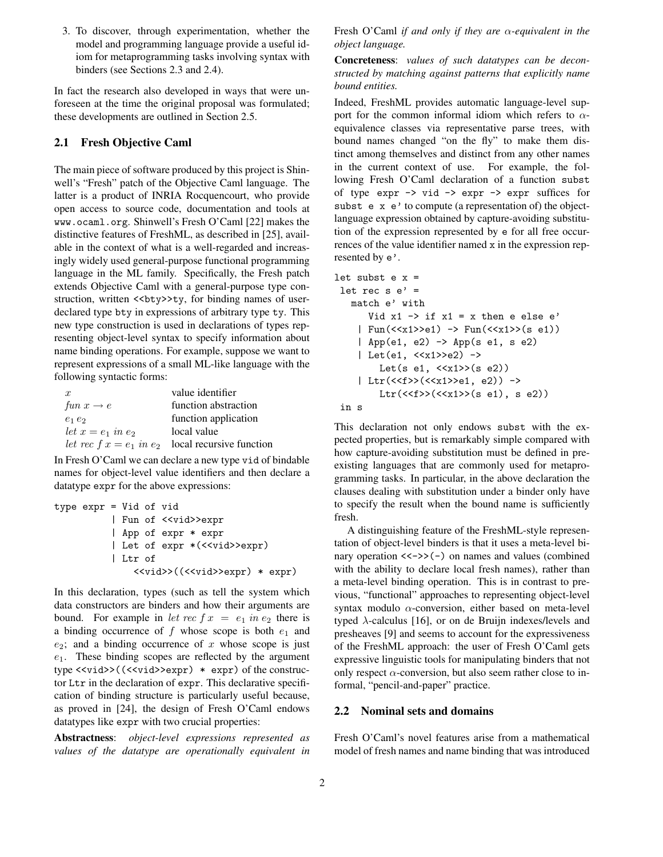3. To discover, through experimentation, whether the model and programming language provide a useful idiom for metaprogramming tasks involving syntax with binders (see Sections 2.3 and 2.4).

In fact the research also developed in ways that were unforeseen at the time the original proposal was formulated; these developments are outlined in Section 2.5.

#### **2.1 Fresh Objective Caml**

The main piece of software produced by this project is Shinwell's "Fresh" patch of the Objective Caml language. The latter is a product of INRIA Rocquencourt, who provide open access to source code, documentation and tools at www.ocaml.org. Shinwell's Fresh O'Caml [22] makes the distinctive features of FreshML, as described in [25], available in the context of what is a well-regarded and increasingly widely used general-purpose functional programming language in the ML family. Specifically, the Fresh patch extends Objective Caml with a general-purpose type construction, written  $\langle \text{Sby} \rangle$ ty, for binding names of userdeclared type bty in expressions of arbitrary type ty. This new type construction is used in declarations of types representing object-level syntax to specify information about name binding operations. For example, suppose we want to represent expressions of a small ML-like language with the following syntactic forms:

| $\boldsymbol{x}$       | value identifier                                      |
|------------------------|-------------------------------------------------------|
| fun $x \rightarrow e$  | function abstraction                                  |
| $e_1e_2$               | function application                                  |
| let $x = e_1$ in $e_2$ | local value                                           |
|                        | let rec $f x = e_1$ in $e_2$ local recursive function |

In Fresh O'Caml we can declare a new type vid of bindable names for object-level value identifiers and then declare a datatype expr for the above expressions:

```
type expr = Vid of vid
     | Fun of <<vid>>expr
     | App of expr * expr
     | Let of expr *(<<vid>>expr)
     | Ltr of
         <<vid>>((<<vid>>expr) * expr)
```
In this declaration, types (such as tell the system which data constructors are binders and how their arguments are bound. For example in let rec  $f x = e_1$  in  $e_2$  there is a binding occurrence of f whose scope is both  $e_1$  and  $e_2$ ; and a binding occurrence of x whose scope is just  $e_1$ . These binding scopes are reflected by the argument type <<vid>>((<<vid>>expr) \* expr) of the constructor Ltr in the declaration of expr. This declarative specification of binding structure is particularly useful because, as proved in [24], the design of Fresh O'Caml endows datatypes like expr with two crucial properties:

**Abstractness**: *object-level expressions represented as values of the datatype are operationally equivalent in*

Fresh O'Caml *if and only if they are* α*-equivalent in the object language.*

**Concreteness**: *values of such datatypes can be deconstructed by matching against patterns that explicitly name bound entities.*

Indeed, FreshML provides automatic language-level support for the common informal idiom which refers to  $\alpha$ equivalence classes via representative parse trees, with bound names changed "on the fly" to make them distinct among themselves and distinct from any other names in the current context of use. For example, the following Fresh O'Caml declaration of a function subst of type  $\exp r \rightarrow \text{vid} \rightarrow \exp r \rightarrow \exp r$  suffices for subst e x e' to compute (a representation of) the objectlanguage expression obtained by capture-avoiding substitution of the expression represented by e for all free occurrences of the value identifier named x in the expression represented by e'.

```
let subst e x =let rec s e' =match e' with
   Vid x1 \rightarrow if x1 = x then e else e'
| Fun(\langle x_1 \rangle > 0) -> Fun(\langle x_1 \rangle > (s \ e_1))
| App(e1, e2) -> App(s e1, s e2)
| Let(e1, <<x1>>e2) ->
      Let(s e1, \langle x_1 \rangle > (s e2))
| Ltr(<<f>>(<<x1>>e1, e2)) ->
      Ltr(<\langle f \rangle > (<\langle x1 \rangle > (s \ e1), \ s \ e2))in s
```
This declaration not only endows subst with the expected properties, but is remarkably simple compared with how capture-avoiding substitution must be defined in preexisting languages that are commonly used for metaprogramming tasks. In particular, in the above declaration the clauses dealing with substitution under a binder only have to specify the result when the bound name is sufficiently fresh.

A distinguishing feature of the FreshML-style representation of object-level binders is that it uses a meta-level binary operation  $\langle \langle - \rangle$  on names and values (combined with the ability to declare local fresh names), rather than a meta-level binding operation. This is in contrast to previous, "functional" approaches to representing object-level syntax modulo  $\alpha$ -conversion, either based on meta-level typed  $\lambda$ -calculus [16], or on de Bruijn indexes/levels and presheaves [9] and seems to account for the expressiveness of the FreshML approach: the user of Fresh O'Caml gets expressive linguistic tools for manipulating binders that not only respect  $\alpha$ -conversion, but also seem rather close to informal, "pencil-and-paper" practice.

#### **2.2 Nominal sets and domains**

Fresh O'Caml's novel features arise from a mathematical model of fresh names and name binding that was introduced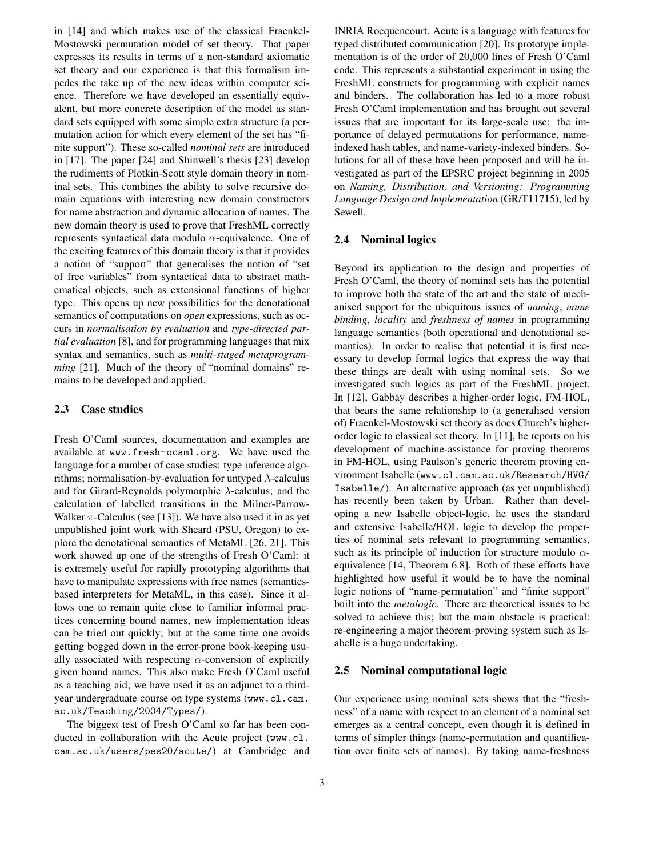in [14] and which makes use of the classical Fraenkel-Mostowski permutation model of set theory. That paper expresses its results in terms of a non-standard axiomatic set theory and our experience is that this formalism impedes the take up of the new ideas within computer science. Therefore we have developed an essentially equivalent, but more concrete description of the model as standard sets equipped with some simple extra structure (a permutation action for which every element of the set has "finite support"). These so-called *nominal sets* are introduced in [17]. The paper [24] and Shinwell's thesis [23] develop the rudiments of Plotkin-Scott style domain theory in nominal sets. This combines the ability to solve recursive domain equations with interesting new domain constructors for name abstraction and dynamic allocation of names. The new domain theory is used to prove that FreshML correctly represents syntactical data modulo  $\alpha$ -equivalence. One of the exciting features of this domain theory is that it provides a notion of "support" that generalises the notion of "set of free variables" from syntactical data to abstract mathematical objects, such as extensional functions of higher type. This opens up new possibilities for the denotational semantics of computations on *open* expressions, such as occurs in *normalisation by evaluation* and *type-directed partial evaluation* [8], and for programming languages that mix syntax and semantics, such as *multi-staged metaprogramming* [21]. Much of the theory of "nominal domains" remains to be developed and applied.

#### **2.3 Case studies**

Fresh O'Caml sources, documentation and examples are available at www.fresh-ocaml.org. We have used the language for a number of case studies: type inference algorithms; normalisation-by-evaluation for untyped  $\lambda$ -calculus and for Girard-Reynolds polymorphic  $\lambda$ -calculus; and the calculation of labelled transitions in the Milner-Parrow-Walker  $\pi$ -Calculus (see [13]). We have also used it in as yet unpublished joint work with Sheard (PSU, Oregon) to explore the denotational semantics of MetaML [26, 21]. This work showed up one of the strengths of Fresh O'Caml: it is extremely useful for rapidly prototyping algorithms that have to manipulate expressions with free names (semanticsbased interpreters for MetaML, in this case). Since it allows one to remain quite close to familiar informal practices concerning bound names, new implementation ideas can be tried out quickly; but at the same time one avoids getting bogged down in the error-prone book-keeping usually associated with respecting  $\alpha$ -conversion of explicitly given bound names. This also make Fresh O'Caml useful as a teaching aid; we have used it as an adjunct to a thirdyear undergraduate course on type systems (www.cl.cam. ac.uk/Teaching/2004/Types/).

The biggest test of Fresh O'Caml so far has been conducted in collaboration with the Acute project (www.cl. cam.ac.uk/users/pes20/acute/) at Cambridge and

INRIA Rocquencourt. Acute is a language with features for typed distributed communication [20]. Its prototype implementation is of the order of 20,000 lines of Fresh O'Caml code. This represents a substantial experiment in using the FreshML constructs for programming with explicit names and binders. The collaboration has led to a more robust Fresh O'Caml implementation and has brought out several issues that are important for its large-scale use: the importance of delayed permutations for performance, nameindexed hash tables, and name-variety-indexed binders. Solutions for all of these have been proposed and will be investigated as part of the EPSRC project beginning in 2005 on *Naming, Distribution, and Versioning: Programming Language Design and Implementation* (GR/T11715), led by Sewell.

#### **2.4 Nominal logics**

Beyond its application to the design and properties of Fresh O'Caml, the theory of nominal sets has the potential to improve both the state of the art and the state of mechanised support for the ubiquitous issues of *naming*, *name binding*, *locality* and *freshness of names* in programming language semantics (both operational and denotational semantics). In order to realise that potential it is first necessary to develop formal logics that express the way that these things are dealt with using nominal sets. So we investigated such logics as part of the FreshML project. In [12], Gabbay describes a higher-order logic, FM-HOL, that bears the same relationship to (a generalised version of) Fraenkel-Mostowski set theory as does Church's higherorder logic to classical set theory. In [11], he reports on his development of machine-assistance for proving theorems in FM-HOL, using Paulson's generic theorem proving environment Isabelle (www.cl.cam.ac.uk/Research/HVG/ Isabelle/). An alternative approach (as yet unpublished) has recently been taken by Urban. Rather than developing a new Isabelle object-logic, he uses the standard and extensive Isabelle/HOL logic to develop the properties of nominal sets relevant to programming semantics, such as its principle of induction for structure modulo  $\alpha$ equivalence [14, Theorem 6.8]. Both of these efforts have highlighted how useful it would be to have the nominal logic notions of "name-permutation" and "finite support" built into the *metalogic*. There are theoretical issues to be solved to achieve this; but the main obstacle is practical: re-engineering a major theorem-proving system such as Isabelle is a huge undertaking.

#### **2.5 Nominal computational logic**

Our experience using nominal sets shows that the "freshness" of a name with respect to an element of a nominal set emerges as a central concept, even though it is defined in terms of simpler things (name-permutation and quantification over finite sets of names). By taking name-freshness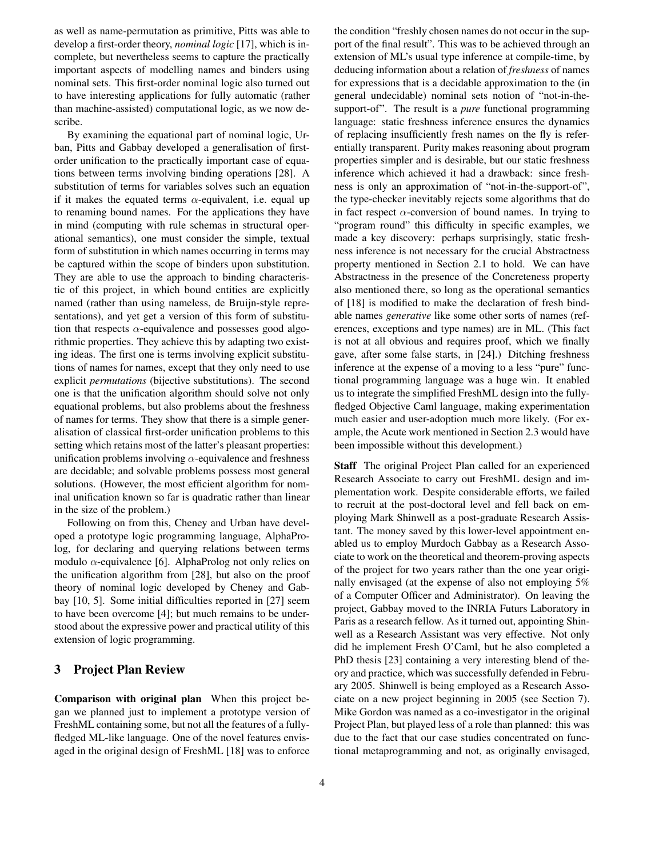as well as name-permutation as primitive, Pitts was able to develop a first-order theory, *nominal logic* [17], which is incomplete, but nevertheless seems to capture the practically important aspects of modelling names and binders using nominal sets. This first-order nominal logic also turned out to have interesting applications for fully automatic (rather than machine-assisted) computational logic, as we now describe.

By examining the equational part of nominal logic, Urban, Pitts and Gabbay developed a generalisation of firstorder unification to the practically important case of equations between terms involving binding operations [28]. A substitution of terms for variables solves such an equation if it makes the equated terms  $\alpha$ -equivalent, i.e. equal up to renaming bound names. For the applications they have in mind (computing with rule schemas in structural operational semantics), one must consider the simple, textual form of substitution in which names occurring in terms may be captured within the scope of binders upon substitution. They are able to use the approach to binding characteristic of this project, in which bound entities are explicitly named (rather than using nameless, de Bruijn-style representations), and yet get a version of this form of substitution that respects  $\alpha$ -equivalence and possesses good algorithmic properties. They achieve this by adapting two existing ideas. The first one is terms involving explicit substitutions of names for names, except that they only need to use explicit *permutations* (bijective substitutions). The second one is that the unification algorithm should solve not only equational problems, but also problems about the freshness of names for terms. They show that there is a simple generalisation of classical first-order unification problems to this setting which retains most of the latter's pleasant properties: unification problems involving  $\alpha$ -equivalence and freshness are decidable; and solvable problems possess most general solutions. (However, the most efficient algorithm for nominal unification known so far is quadratic rather than linear in the size of the problem.)

Following on from this, Cheney and Urban have developed a prototype logic programming language, AlphaProlog, for declaring and querying relations between terms modulo  $\alpha$ -equivalence [6]. AlphaProlog not only relies on the unification algorithm from [28], but also on the proof theory of nominal logic developed by Cheney and Gabbay [10, 5]. Some initial difficulties reported in [27] seem to have been overcome [4]; but much remains to be understood about the expressive power and practical utility of this extension of logic programming.

## **3 Project Plan Review**

**Comparison with original plan** When this project began we planned just to implement a prototype version of FreshML containing some, but not all the features of a fullyfledged ML-like language. One of the novel features envisaged in the original design of FreshML [18] was to enforce

the condition "freshly chosen names do not occur in the support of the final result". This was to be achieved through an extension of ML's usual type inference at compile-time, by deducing information about a relation of *freshness* of names for expressions that is a decidable approximation to the (in general undecidable) nominal sets notion of "not-in-thesupport-of". The result is a *pure* functional programming language: static freshness inference ensures the dynamics of replacing insufficiently fresh names on the fly is referentially transparent. Purity makes reasoning about program properties simpler and is desirable, but our static freshness inference which achieved it had a drawback: since freshness is only an approximation of "not-in-the-support-of", the type-checker inevitably rejects some algorithms that do in fact respect  $\alpha$ -conversion of bound names. In trying to "program round" this difficulty in specific examples, we made a key discovery: perhaps surprisingly, static freshness inference is not necessary for the crucial Abstractness property mentioned in Section 2.1 to hold. We can have Abstractness in the presence of the Concreteness property also mentioned there, so long as the operational semantics of [18] is modified to make the declaration of fresh bindable names *generative* like some other sorts of names (references, exceptions and type names) are in ML. (This fact is not at all obvious and requires proof, which we finally gave, after some false starts, in [24].) Ditching freshness inference at the expense of a moving to a less "pure" functional programming language was a huge win. It enabled us to integrate the simplified FreshML design into the fullyfledged Objective Caml language, making experimentation much easier and user-adoption much more likely. (For example, the Acute work mentioned in Section 2.3 would have been impossible without this development.)

**Staff** The original Project Plan called for an experienced Research Associate to carry out FreshML design and implementation work. Despite considerable efforts, we failed to recruit at the post-doctoral level and fell back on employing Mark Shinwell as a post-graduate Research Assistant. The money saved by this lower-level appointment enabled us to employ Murdoch Gabbay as a Research Associate to work on the theoretical and theorem-proving aspects of the project for two years rather than the one year originally envisaged (at the expense of also not employing 5% of a Computer Officer and Administrator). On leaving the project, Gabbay moved to the INRIA Futurs Laboratory in Paris as a research fellow. As it turned out, appointing Shinwell as a Research Assistant was very effective. Not only did he implement Fresh O'Caml, but he also completed a PhD thesis [23] containing a very interesting blend of theory and practice, which was successfully defended in February 2005. Shinwell is being employed as a Research Associate on a new project beginning in 2005 (see Section 7). Mike Gordon was named as a co-investigator in the original Project Plan, but played less of a role than planned: this was due to the fact that our case studies concentrated on functional metaprogramming and not, as originally envisaged,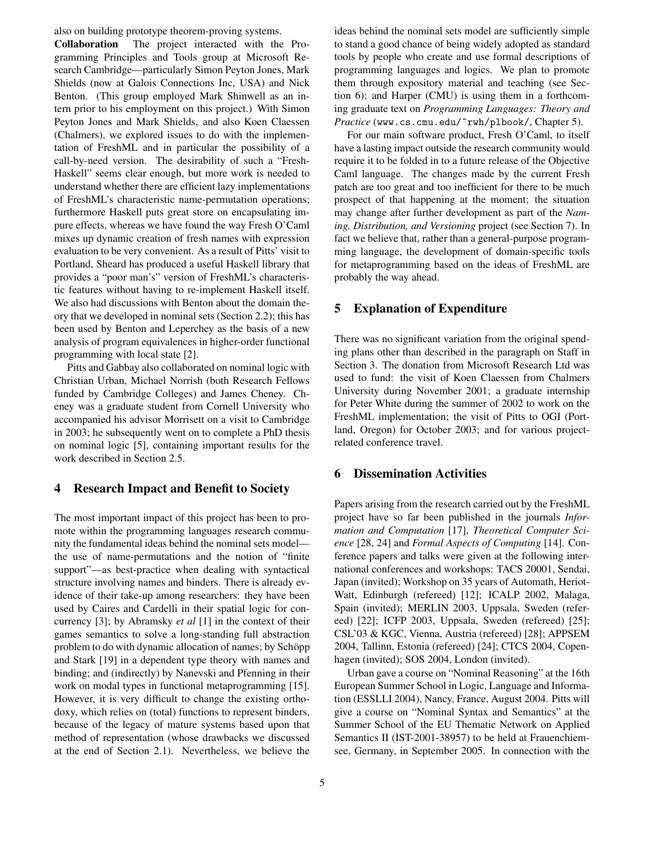also on building prototype theorem-proving systems.

**Collaboration** The project interacted with the Programming Principles and Tools group at Microsoft Research Cambridge—particularly Simon Peyton Jones, Mark Shields (now at Galois Connections Inc, USA) and Nick Benton. (This group employed Mark Shinwell as an intern prior to his employment on this project.) With Simon Peyton Jones and Mark Shields, and also Koen Claessen (Chalmers), we explored issues to do with the implementation of FreshML and in particular the possibility of a call-by-need version. The desirability of such a "Fresh-Haskell" seems clear enough, but more work is needed to understand whether there are efficient lazy implementations of FreshML's characteristic name-permutation operations; furthermore Haskell puts great store on encapsulating impure effects, whereas we have found the way Fresh O'Caml mixes up dynamic creation of fresh names with expression evaluation to be very convenient. As a result of Pitts' visit to Portland, Sheard has produced a useful Haskell library that provides a "poor man's" version of FreshML's characteristic features without having to re-implement Haskell itself. We also had discussions with Benton about the domain theory that we developed in nominal sets (Section 2.2); this has been used by Benton and Leperchey as the basis of a new analysis of program equivalences in higher-order functional programming with local state [2].

Pitts and Gabbay also collaborated on nominal logic with Christian Urban, Michael Norrish (both Research Fellows funded by Cambridge Colleges) and James Cheney. Cheney was a graduate student from Cornell University who accompanied his advisor Morrisett on a visit to Cambridge in 2003; he subsequently went on to complete a PhD thesis on nominal logic [5], containing important results for the work described in Section 2.5.

## **4 Research Impact and Benefit to Society**

The most important impact of this project has been to promote within the programming languages research community the fundamental ideas behind the nominal sets model the use of name-permutations and the notion of "finite support"—as best-practice when dealing with syntactical structure involving names and binders. There is already evidence of their take-up among researchers: they have been used by Caires and Cardelli in their spatial logic for concurrency [3]; by Abramsky *et al* [1] in the context of their games semantics to solve a long-standing full abstraction problem to do with dynamic allocation of names; by Schöpp and Stark [19] in a dependent type theory with names and binding; and (indirectly) by Nanevski and Pfenning in their work on modal types in functional metaprogramming [15]. However, it is very difficult to change the existing orthodoxy, which relies on (total) functions to represent binders, because of the legacy of mature systems based upon that method of representation (whose drawbacks we discussed at the end of Section 2.1). Nevertheless, we believe the

ideas behind the nominal sets model are sufficiently simple to stand a good chance of being widely adopted as standard tools by people who create and use formal descriptions of programming languages and logics. We plan to promote them through expository material and teaching (see Section 6); and Harper (CMU) is using them in a forthcoming graduate text on *Programming Languages: Theory and Practice* (www.cs.cmu.edu/~rwh/plbook/, Chapter 5).

For our main software product, Fresh O'Caml, to itself have a lasting impact outside the research community would require it to be folded in to a future release of the Objective Caml language. The changes made by the current Fresh patch are too great and too inefficient for there to be much prospect of that happening at the moment; the situation may change after further development as part of the *Naming, Distribution, and Versioning* project (see Section 7). In fact we believe that, rather than a general-purpose programming language, the development of domain-specific tools for metaprogramming based on the ideas of FreshML are probably the way ahead.

## **5 Explanation of Expenditure**

There was no significant variation from the original spending plans other than described in the paragraph on Staff in Section 3. The donation from Microsoft Research Ltd was used to fund: the visit of Koen Claessen from Chalmers University during November 2001; a graduate internship for Peter White during the summer of 2002 to work on the FreshML implementation; the visit of Pitts to OGI (Portland, Oregon) for October 2003; and for various projectrelated conference travel.

## **6 Dissemination Activities**

Papers arising from the research carried out by the FreshML project have so far been published in the journals *Information and Computation* [17], *Theoretical Computer Science* [28, 24] and *Formal Aspects of Computing* [14]. Conference papers and talks were given at the following international conferences and workshops: TACS 20001, Sendai, Japan (invited); Workshop on 35 years of Automath, Heriot-Watt, Edinburgh (refereed) [12]; ICALP 2002, Malaga, Spain (invited); MERLIN 2003, Uppsala, Sweden (refereed) [22]; ICFP 2003, Uppsala, Sweden (refereed) [25]; CSL'03 & KGC, Vienna, Austria (refereed) [28]; APPSEM 2004, Tallinn, Estonia (refereed) [24]; CTCS 2004, Copenhagen (invited); SOS 2004, London (invited).

Urban gave a course on "Nominal Reasoning" at the 16th European Summer School in Logic, Language and Information (ESSLLI 2004), Nancy, France, August 2004. Pitts will give a course on "Nominal Syntax and Semantics" at the Summer School of the EU Thematic Network on Applied Semantics II (IST-2001-38957) to be held at Frauenchiemsee, Germany, in September 2005. In connection with the